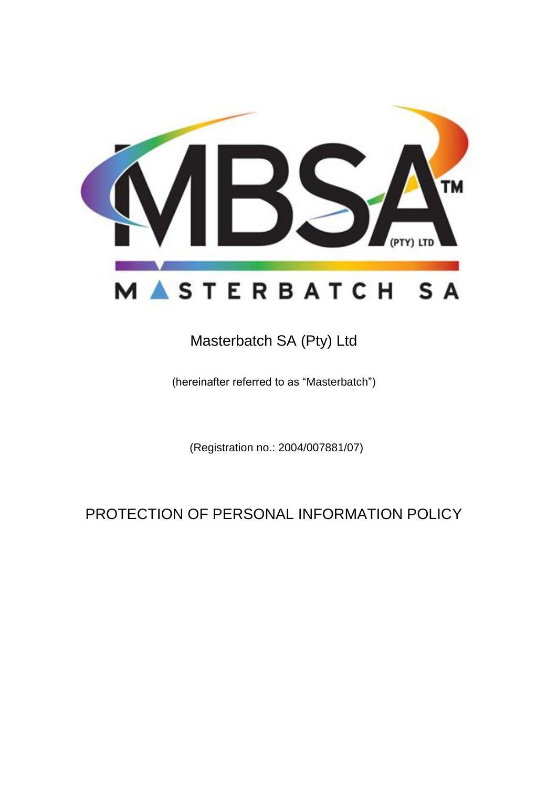

# Masterbatch SA (Pty) Ltd

(hereinafter referred to as "Masterbatch")

(Registration no.: 2004/007881/07)

# PROTECTION OF PERSONAL INFORMATION POLICY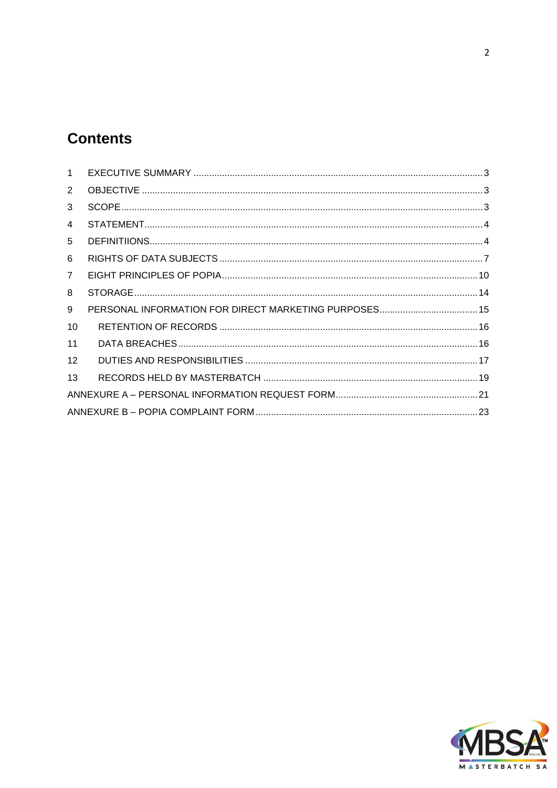# **Contents**

| $\mathbf 1$    |  |
|----------------|--|
| $\overline{2}$ |  |
| 3              |  |
| 4              |  |
| 5              |  |
| 6              |  |
| $\overline{7}$ |  |
| 8              |  |
| 9              |  |
| 10             |  |
| 11             |  |
| 12             |  |
| 13             |  |
|                |  |
|                |  |

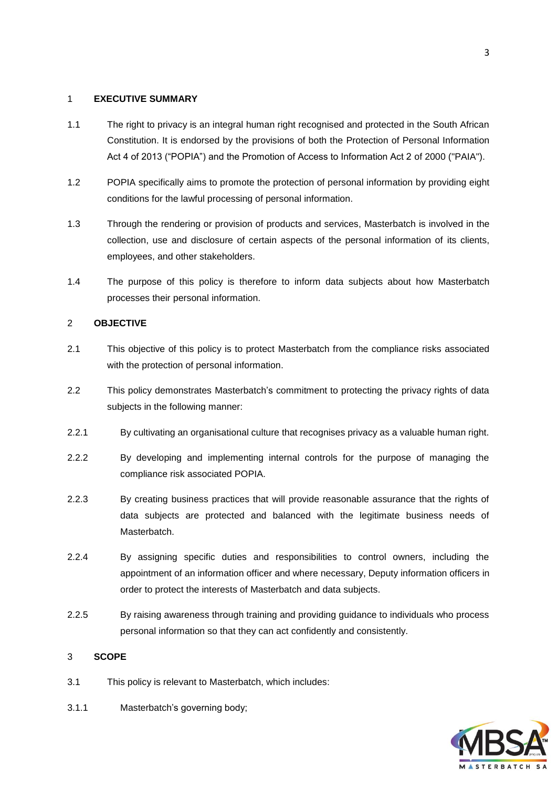# <span id="page-2-0"></span>1 **EXECUTIVE SUMMARY**

- 1.1 The right to privacy is an integral human right recognised and protected in the South African Constitution. It is endorsed by the provisions of both the Protection of Personal Information Act 4 of 2013 ("POPIA") and the Promotion of Access to Information Act 2 of 2000 ("PAIA").
- 1.2 POPIA specifically aims to promote the protection of personal information by providing eight conditions for the lawful processing of personal information.
- 1.3 Through the rendering or provision of products and services, Masterbatch is involved in the collection, use and disclosure of certain aspects of the personal information of its clients, employees, and other stakeholders.
- 1.4 The purpose of this policy is therefore to inform data subjects about how Masterbatch processes their personal information.

# <span id="page-2-1"></span>2 **OBJECTIVE**

- 2.1 This objective of this policy is to protect Masterbatch from the compliance risks associated with the protection of personal information.
- 2.2 This policy demonstrates Masterbatch's commitment to protecting the privacy rights of data subjects in the following manner:
- 2.2.1 By cultivating an organisational culture that recognises privacy as a valuable human right.
- 2.2.2 By developing and implementing internal controls for the purpose of managing the compliance risk associated POPIA.
- 2.2.3 By creating business practices that will provide reasonable assurance that the rights of data subjects are protected and balanced with the legitimate business needs of Masterbatch.
- 2.2.4 By assigning specific duties and responsibilities to control owners, including the appointment of an information officer and where necessary, Deputy information officers in order to protect the interests of Masterbatch and data subjects.
- 2.2.5 By raising awareness through training and providing guidance to individuals who process personal information so that they can act confidently and consistently.

# <span id="page-2-2"></span>3 **SCOPE**

- 3.1 This policy is relevant to Masterbatch, which includes:
- 3.1.1 Masterbatch's governing body;

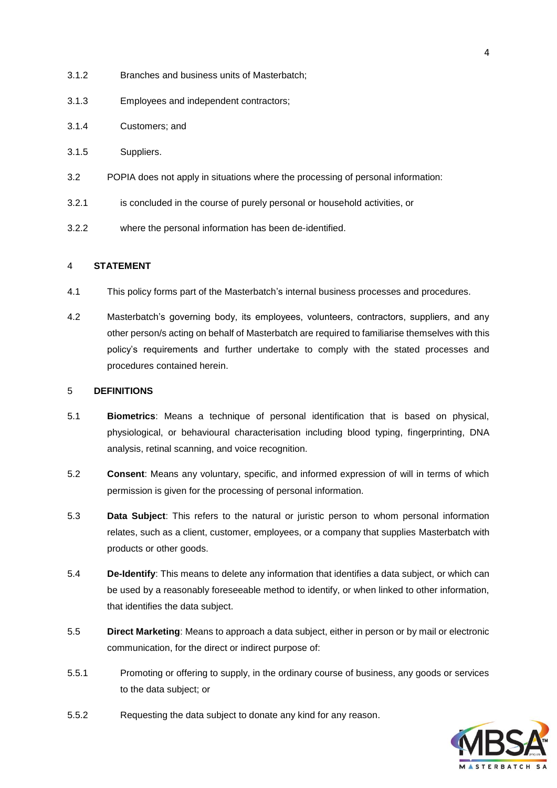- 3.1.2 Branches and business units of Masterbatch;
- 3.1.3 Employees and independent contractors;
- 3.1.4 Customers; and
- 3.1.5 Suppliers.
- 3.2 POPIA does not apply in situations where the processing of personal information:
- 3.2.1 is concluded in the course of purely personal or household activities, or
- 3.2.2 where the personal information has been de-identified.

## <span id="page-3-0"></span>4 **STATEMENT**

- 4.1 This policy forms part of the Masterbatch's internal business processes and procedures.
- 4.2 Masterbatch's governing body, its employees, volunteers, contractors, suppliers, and any other person/s acting on behalf of Masterbatch are required to familiarise themselves with this policy's requirements and further undertake to comply with the stated processes and procedures contained herein.

#### <span id="page-3-1"></span>5 **DEFINITIONS**

- 5.1 **Biometrics**: Means a technique of personal identification that is based on physical, physiological, or behavioural characterisation including blood typing, fingerprinting, DNA analysis, retinal scanning, and voice recognition.
- 5.2 **Consent**: Means any voluntary, specific, and informed expression of will in terms of which permission is given for the processing of personal information.
- 5.3 **Data Subject**: This refers to the natural or juristic person to whom personal information relates, such as a client, customer, employees, or a company that supplies Masterbatch with products or other goods.
- 5.4 **De-Identify**: This means to delete any information that identifies a data subject, or which can be used by a reasonably foreseeable method to identify, or when linked to other information, that identifies the data subject.
- 5.5 **Direct Marketing**: Means to approach a data subject, either in person or by mail or electronic communication, for the direct or indirect purpose of:
- 5.5.1 Promoting or offering to supply, in the ordinary course of business, any goods or services to the data subject; or
- 5.5.2 Requesting the data subject to donate any kind for any reason.

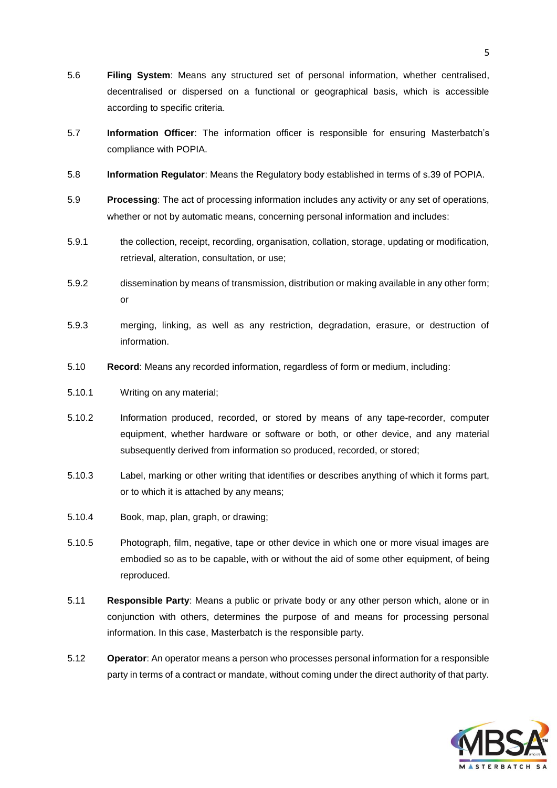- 5.6 **Filing System**: Means any structured set of personal information, whether centralised, decentralised or dispersed on a functional or geographical basis, which is accessible according to specific criteria.
- 5.7 **Information Officer**: The information officer is responsible for ensuring Masterbatch's compliance with POPIA.
- 5.8 **Information Regulator**: Means the Regulatory body established in terms of s.39 of POPIA.
- 5.9 **Processing**: The act of processing information includes any activity or any set of operations, whether or not by automatic means, concerning personal information and includes:
- 5.9.1 the collection, receipt, recording, organisation, collation, storage, updating or modification, retrieval, alteration, consultation, or use;
- 5.9.2 dissemination by means of transmission, distribution or making available in any other form; or
- 5.9.3 merging, linking, as well as any restriction, degradation, erasure, or destruction of information.
- 5.10 **Record**: Means any recorded information, regardless of form or medium, including:
- 5.10.1 Writing on any material;
- 5.10.2 Information produced, recorded, or stored by means of any tape-recorder, computer equipment, whether hardware or software or both, or other device, and any material subsequently derived from information so produced, recorded, or stored;
- 5.10.3 Label, marking or other writing that identifies or describes anything of which it forms part, or to which it is attached by any means;
- 5.10.4 Book, map, plan, graph, or drawing;
- 5.10.5 Photograph, film, negative, tape or other device in which one or more visual images are embodied so as to be capable, with or without the aid of some other equipment, of being reproduced.
- 5.11 **Responsible Party**: Means a public or private body or any other person which, alone or in conjunction with others, determines the purpose of and means for processing personal information. In this case, Masterbatch is the responsible party.
- 5.12 **Operator**: An operator means a person who processes personal information for a responsible party in terms of a contract or mandate, without coming under the direct authority of that party.

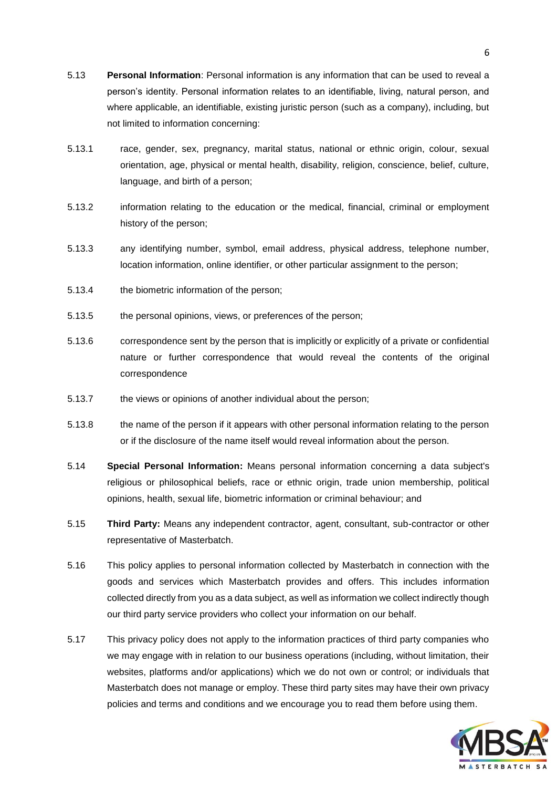- 5.13 **Personal Information**: Personal information is any information that can be used to reveal a person's identity. Personal information relates to an identifiable, living, natural person, and where applicable, an identifiable, existing juristic person (such as a company), including, but not limited to information concerning:
- 5.13.1 race, gender, sex, pregnancy, marital status, national or ethnic origin, colour, sexual orientation, age, physical or mental health, disability, religion, conscience, belief, culture, language, and birth of a person;
- 5.13.2 information relating to the education or the medical, financial, criminal or employment history of the person;
- 5.13.3 any identifying number, symbol, email address, physical address, telephone number, location information, online identifier, or other particular assignment to the person;
- 5.13.4 the biometric information of the person;
- 5.13.5 the personal opinions, views, or preferences of the person;
- 5.13.6 correspondence sent by the person that is implicitly or explicitly of a private or confidential nature or further correspondence that would reveal the contents of the original correspondence
- 5.13.7 the views or opinions of another individual about the person;
- 5.13.8 the name of the person if it appears with other personal information relating to the person or if the disclosure of the name itself would reveal information about the person.
- 5.14 **Special Personal Information:** Means personal information concerning a data subject's religious or philosophical beliefs, race or ethnic origin, trade union membership, political opinions, health, sexual life, biometric information or criminal behaviour; and
- 5.15 **Third Party:** Means any independent contractor, agent, consultant, sub-contractor or other representative of Masterbatch.
- 5.16 This policy applies to personal information collected by Masterbatch in connection with the goods and services which Masterbatch provides and offers. This includes information collected directly from you as a data subject, as well as information we collect indirectly though our third party service providers who collect your information on our behalf.
- 5.17 This privacy policy does not apply to the information practices of third party companies who we may engage with in relation to our business operations (including, without limitation, their websites, platforms and/or applications) which we do not own or control; or individuals that Masterbatch does not manage or employ. These third party sites may have their own privacy policies and terms and conditions and we encourage you to read them before using them.

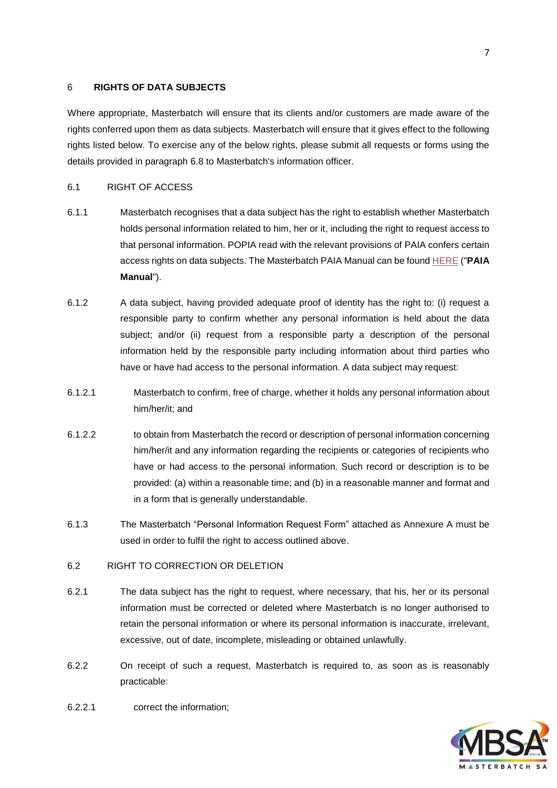### <span id="page-6-0"></span>6 **RIGHTS OF DATA SUBJECTS**

Where appropriate, Masterbatch will ensure that its clients and/or customers are made aware of the rights conferred upon them as data subjects. Masterbatch will ensure that it gives effect to the following rights listed below. To exercise any of the below rights, please submit all requests or forms using the details provided in paragraph [6.8](#page-8-0) to Masterbatch's information officer.

#### 6.1 RIGHT OF ACCESS

- 6.1.1 Masterbatch recognises that a data subject has the right to establish whether Masterbatch holds personal information related to him, her or it, including the right to request access to that personal information. POPIA read with the relevant provisions of PAIA confers certain access rights on data subjects. The Masterbatch PAIA Manual can be found [HERE](https://www.masterbatch.co.za/general-5) ("**PAIA Manual**").
- 6.1.2 A data subject, having provided adequate proof of identity has the right to: (i) request a responsible party to confirm whether any personal information is held about the data subject; and/or (ii) request from a responsible party a description of the personal information held by the responsible party including information about third parties who have or have had access to the personal information. A data subject may request:
- 6.1.2.1 Masterbatch to confirm, free of charge, whether it holds any personal information about him/her/it; and
- 6.1.2.2 to obtain from Masterbatch the record or description of personal information concerning him/her/it and any information regarding the recipients or categories of recipients who have or had access to the personal information. Such record or description is to be provided: (a) within a reasonable time; and (b) in a reasonable manner and format and in a form that is generally understandable.
- 6.1.3 The Masterbatch "Personal Information Request Form" attached as Annexure A must be used in order to fulfil the right to access outlined above.

#### 6.2 RIGHT TO CORRECTION OR DELETION

- 6.2.1 The data subject has the right to request, where necessary, that his, her or its personal information must be corrected or deleted where Masterbatch is no longer authorised to retain the personal information or where its personal information is inaccurate, irrelevant, excessive, out of date, incomplete, misleading or obtained unlawfully.
- 6.2.2 On receipt of such a request, Masterbatch is required to, as soon as is reasonably practicable:

![](_page_6_Picture_11.jpeg)

6.2.2.1 correct the information;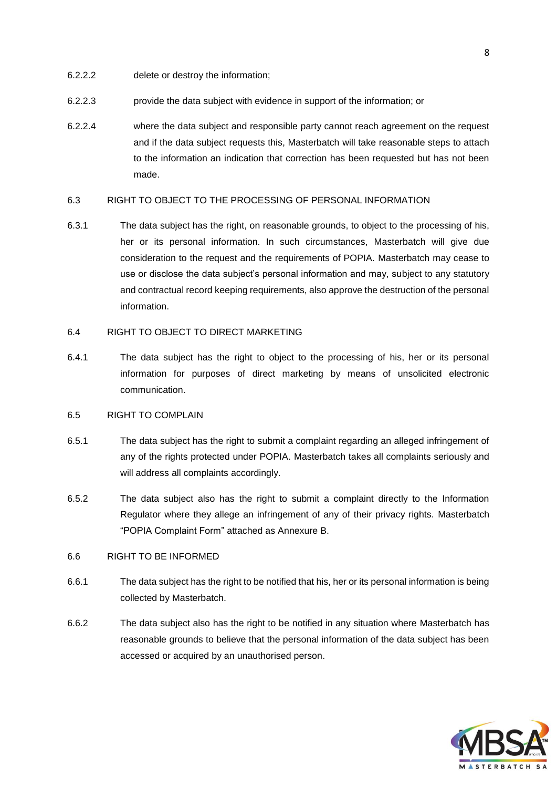- 6.2.2.2 delete or destroy the information;
- 6.2.2.3 provide the data subject with evidence in support of the information; or
- 6.2.2.4 where the data subject and responsible party cannot reach agreement on the request and if the data subject requests this, Masterbatch will take reasonable steps to attach to the information an indication that correction has been requested but has not been made.

## 6.3 RIGHT TO OBJECT TO THE PROCESSING OF PERSONAL INFORMATION

6.3.1 The data subject has the right, on reasonable grounds, to object to the processing of his, her or its personal information. In such circumstances, Masterbatch will give due consideration to the request and the requirements of POPIA. Masterbatch may cease to use or disclose the data subject's personal information and may, subject to any statutory and contractual record keeping requirements, also approve the destruction of the personal information.

# 6.4 RIGHT TO OBJECT TO DIRECT MARKETING

6.4.1 The data subject has the right to object to the processing of his, her or its personal information for purposes of direct marketing by means of unsolicited electronic communication.

# 6.5 RIGHT TO COMPLAIN

- 6.5.1 The data subject has the right to submit a complaint regarding an alleged infringement of any of the rights protected under POPIA. Masterbatch takes all complaints seriously and will address all complaints accordingly.
- 6.5.2 The data subject also has the right to submit a complaint directly to the Information Regulator where they allege an infringement of any of their privacy rights. Masterbatch "POPIA Complaint Form" attached as Annexure B.

#### 6.6 RIGHT TO BE INFORMED

- 6.6.1 The data subject has the right to be notified that his, her or its personal information is being collected by Masterbatch.
- 6.6.2 The data subject also has the right to be notified in any situation where Masterbatch has reasonable grounds to believe that the personal information of the data subject has been accessed or acquired by an unauthorised person.

![](_page_7_Picture_13.jpeg)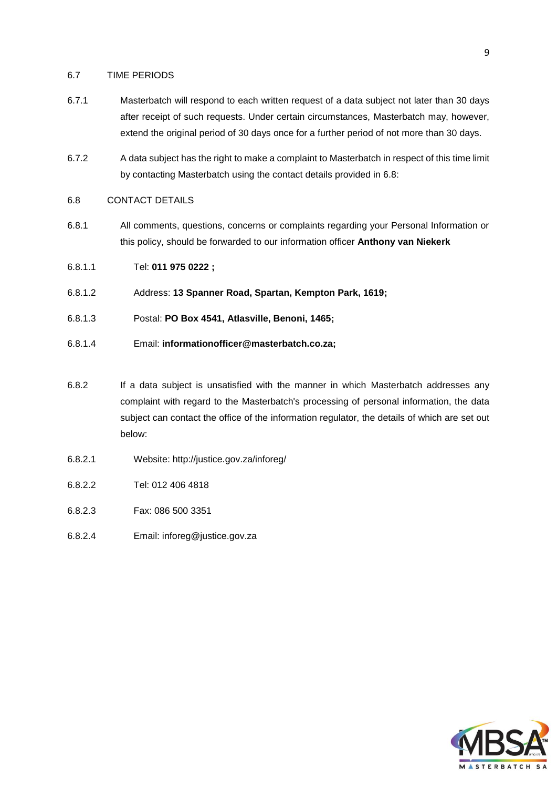#### 6.7 TIME PERIODS

- 6.7.1 Masterbatch will respond to each written request of a data subject not later than 30 days after receipt of such requests. Under certain circumstances, Masterbatch may, however, extend the original period of 30 days once for a further period of not more than 30 days.
- 6.7.2 A data subject has the right to make a complaint to Masterbatch in respect of this time limit by contacting Masterbatch using the contact details provided in 6.8:

## <span id="page-8-0"></span>6.8 CONTACT DETAILS

- 6.8.1 All comments, questions, concerns or complaints regarding your Personal Information or this policy, should be forwarded to our information officer **Anthony van Niekerk**
- 6.8.1.1 Tel: **011 975 0222 ;**
- 6.8.1.2 Address: **13 Spanner Road, Spartan, Kempton Park, 1619;**
- 6.8.1.3 Postal: **PO Box 4541, Atlasville, Benoni, 1465;**
- 6.8.1.4 Email: **informationofficer@masterbatch.co.za;**
- 6.8.2 If a data subject is unsatisfied with the manner in which Masterbatch addresses any complaint with regard to the Masterbatch's processing of personal information, the data subject can contact the office of the information regulator, the details of which are set out below:
- 6.8.2.1 Website:<http://justice.gov.za/inforeg/>
- 6.8.2.2 Tel: 012 406 4818
- 6.8.2.3 Fax: 086 500 3351
- 6.8.2.4 Email: [inforeg@justice.gov.za](mailto:inforeg@justice.gov.za)

![](_page_8_Picture_15.jpeg)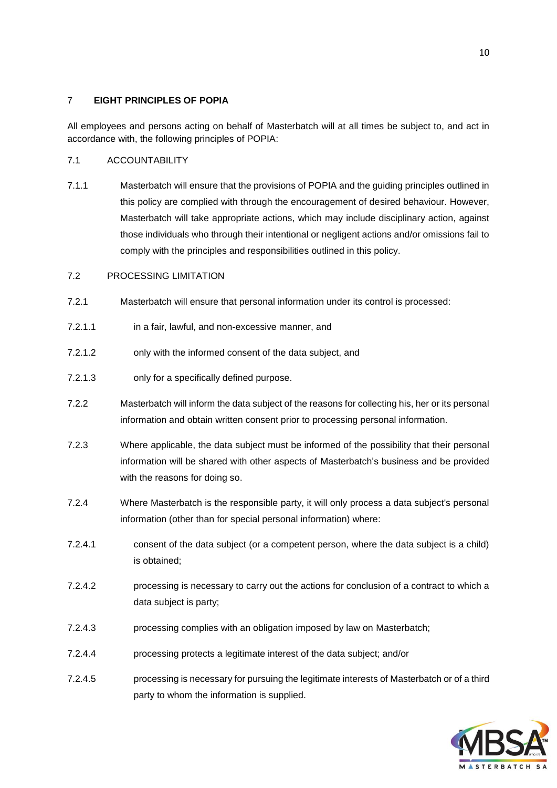# <span id="page-9-0"></span>7 **EIGHT PRINCIPLES OF POPIA**

All employees and persons acting on behalf of Masterbatch will at all times be subject to, and act in accordance with, the following principles of POPIA:

# 7.1 ACCOUNTABILITY

7.1.1 Masterbatch will ensure that the provisions of POPIA and the guiding principles outlined in this policy are complied with through the encouragement of desired behaviour. However, Masterbatch will take appropriate actions, which may include disciplinary action, against those individuals who through their intentional or negligent actions and/or omissions fail to comply with the principles and responsibilities outlined in this policy.

# 7.2 PROCESSING LIMITATION

- 7.2.1 Masterbatch will ensure that personal information under its control is processed:
- 7.2.1.1 in a fair, lawful, and non-excessive manner, and
- 7.2.1.2 only with the informed consent of the data subject, and
- 7.2.1.3 only for a specifically defined purpose.
- 7.2.2 Masterbatch will inform the data subject of the reasons for collecting his, her or its personal information and obtain written consent prior to processing personal information.
- 7.2.3 Where applicable, the data subject must be informed of the possibility that their personal information will be shared with other aspects of Masterbatch's business and be provided with the reasons for doing so.
- 7.2.4 Where Masterbatch is the responsible party, it will only process a data subject's personal information (other than for special personal information) where:
- 7.2.4.1 consent of the data subject (or a competent person, where the data subject is a child) is obtained;
- 7.2.4.2 processing is necessary to carry out the actions for conclusion of a contract to which a data subject is party;
- 7.2.4.3 processing complies with an obligation imposed by law on Masterbatch;
- 7.2.4.4 processing protects a legitimate interest of the data subject; and/or
- 7.2.4.5 processing is necessary for pursuing the legitimate interests of Masterbatch or of a third party to whom the information is supplied.

![](_page_9_Picture_17.jpeg)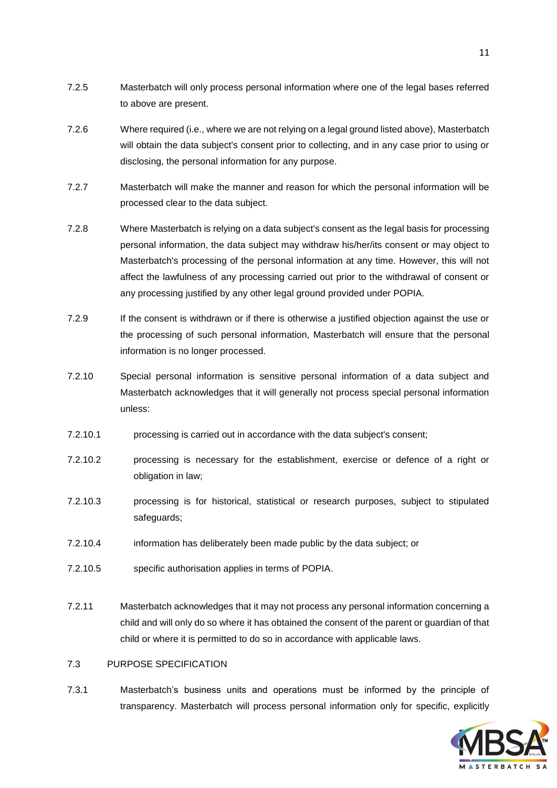- 7.2.5 Masterbatch will only process personal information where one of the legal bases referred to above are present.
- 7.2.6 Where required (i.e., where we are not relying on a legal ground listed above), Masterbatch will obtain the data subject's consent prior to collecting, and in any case prior to using or disclosing, the personal information for any purpose.
- 7.2.7 Masterbatch will make the manner and reason for which the personal information will be processed clear to the data subject.
- 7.2.8 Where Masterbatch is relying on a data subject's consent as the legal basis for processing personal information, the data subject may withdraw his/her/its consent or may object to Masterbatch's processing of the personal information at any time. However, this will not affect the lawfulness of any processing carried out prior to the withdrawal of consent or any processing justified by any other legal ground provided under POPIA.
- 7.2.9 If the consent is withdrawn or if there is otherwise a justified objection against the use or the processing of such personal information, Masterbatch will ensure that the personal information is no longer processed.
- 7.2.10 Special personal information is sensitive personal information of a data subject and Masterbatch acknowledges that it will generally not process special personal information unless:
- 7.2.10.1 processing is carried out in accordance with the data subject's consent;
- 7.2.10.2 processing is necessary for the establishment, exercise or defence of a right or obligation in law;
- 7.2.10.3 processing is for historical, statistical or research purposes, subject to stipulated safeguards;
- 7.2.10.4 information has deliberately been made public by the data subject; or
- 7.2.10.5 specific authorisation applies in terms of POPIA.
- 7.2.11 Masterbatch acknowledges that it may not process any personal information concerning a child and will only do so where it has obtained the consent of the parent or guardian of that child or where it is permitted to do so in accordance with applicable laws.

#### 7.3 PURPOSE SPECIFICATION

7.3.1 Masterbatch's business units and operations must be informed by the principle of transparency. Masterbatch will process personal information only for specific, explicitly

![](_page_10_Picture_14.jpeg)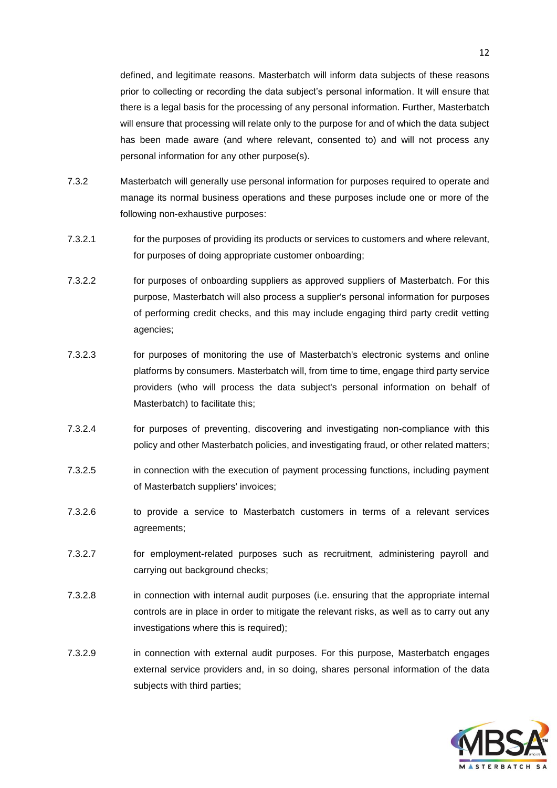defined, and legitimate reasons. Masterbatch will inform data subjects of these reasons prior to collecting or recording the data subject's personal information. It will ensure that there is a legal basis for the processing of any personal information. Further, Masterbatch will ensure that processing will relate only to the purpose for and of which the data subject has been made aware (and where relevant, consented to) and will not process any personal information for any other purpose(s).

- 7.3.2 Masterbatch will generally use personal information for purposes required to operate and manage its normal business operations and these purposes include one or more of the following non-exhaustive purposes:
- 7.3.2.1 for the purposes of providing its products or services to customers and where relevant, for purposes of doing appropriate customer onboarding;
- 7.3.2.2 for purposes of onboarding suppliers as approved suppliers of Masterbatch. For this purpose, Masterbatch will also process a supplier's personal information for purposes of performing credit checks, and this may include engaging third party credit vetting agencies;
- 7.3.2.3 for purposes of monitoring the use of Masterbatch's electronic systems and online platforms by consumers. Masterbatch will, from time to time, engage third party service providers (who will process the data subject's personal information on behalf of Masterbatch) to facilitate this;
- 7.3.2.4 for purposes of preventing, discovering and investigating non-compliance with this policy and other Masterbatch policies, and investigating fraud, or other related matters;
- 7.3.2.5 in connection with the execution of payment processing functions, including payment of Masterbatch suppliers' invoices;
- 7.3.2.6 to provide a service to Masterbatch customers in terms of a relevant services agreements;
- 7.3.2.7 for employment-related purposes such as recruitment, administering payroll and carrying out background checks;
- 7.3.2.8 in connection with internal audit purposes (i.e. ensuring that the appropriate internal controls are in place in order to mitigate the relevant risks, as well as to carry out any investigations where this is required);
- 7.3.2.9 in connection with external audit purposes. For this purpose, Masterbatch engages external service providers and, in so doing, shares personal information of the data subjects with third parties;

![](_page_11_Picture_11.jpeg)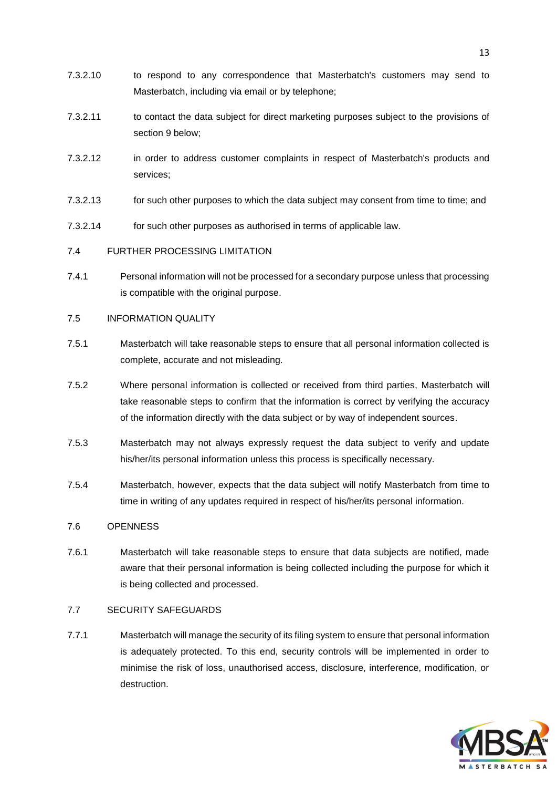- 7.3.2.10 to respond to any correspondence that Masterbatch's customers may send to Masterbatch, including via email or by telephone;
- 7.3.2.11 to contact the data subject for direct marketing purposes subject to the provisions of section [9](#page-14-0) below;
- 7.3.2.12 in order to address customer complaints in respect of Masterbatch's products and services;
- 7.3.2.13 for such other purposes to which the data subject may consent from time to time; and
- 7.3.2.14 for such other purposes as authorised in terms of applicable law.

# 7.4 FURTHER PROCESSING LIMITATION

7.4.1 Personal information will not be processed for a secondary purpose unless that processing is compatible with the original purpose.

## 7.5 INFORMATION QUALITY

- 7.5.1 Masterbatch will take reasonable steps to ensure that all personal information collected is complete, accurate and not misleading.
- 7.5.2 Where personal information is collected or received from third parties, Masterbatch will take reasonable steps to confirm that the information is correct by verifying the accuracy of the information directly with the data subject or by way of independent sources.
- 7.5.3 Masterbatch may not always expressly request the data subject to verify and update his/her/its personal information unless this process is specifically necessary.
- 7.5.4 Masterbatch, however, expects that the data subject will notify Masterbatch from time to time in writing of any updates required in respect of his/her/its personal information.

## 7.6 OPENNESS

7.6.1 Masterbatch will take reasonable steps to ensure that data subjects are notified, made aware that their personal information is being collected including the purpose for which it is being collected and processed.

# 7.7 SECURITY SAFEGUARDS

7.7.1 Masterbatch will manage the security of its filing system to ensure that personal information is adequately protected. To this end, security controls will be implemented in order to minimise the risk of loss, unauthorised access, disclosure, interference, modification, or destruction.

![](_page_12_Picture_16.jpeg)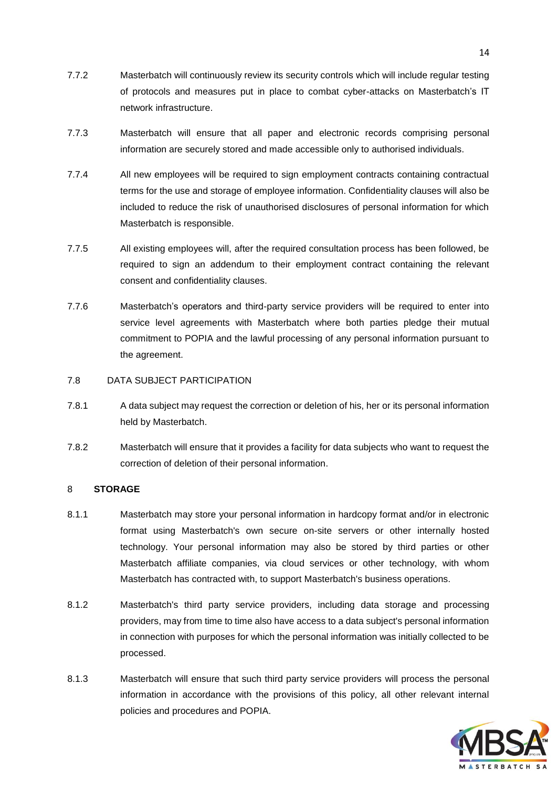- 7.7.2 Masterbatch will continuously review its security controls which will include regular testing of protocols and measures put in place to combat cyber-attacks on Masterbatch's IT network infrastructure.
- 7.7.3 Masterbatch will ensure that all paper and electronic records comprising personal information are securely stored and made accessible only to authorised individuals.
- 7.7.4 All new employees will be required to sign employment contracts containing contractual terms for the use and storage of employee information. Confidentiality clauses will also be included to reduce the risk of unauthorised disclosures of personal information for which Masterbatch is responsible.
- 7.7.5 All existing employees will, after the required consultation process has been followed, be required to sign an addendum to their employment contract containing the relevant consent and confidentiality clauses.
- 7.7.6 Masterbatch's operators and third-party service providers will be required to enter into service level agreements with Masterbatch where both parties pledge their mutual commitment to POPIA and the lawful processing of any personal information pursuant to the agreement.
- 7.8 DATA SUBJECT PARTICIPATION
- 7.8.1 A data subject may request the correction or deletion of his, her or its personal information held by Masterbatch.
- 7.8.2 Masterbatch will ensure that it provides a facility for data subjects who want to request the correction of deletion of their personal information.

## <span id="page-13-0"></span>8 **STORAGE**

- 8.1.1 Masterbatch may store your personal information in hardcopy format and/or in electronic format using Masterbatch's own secure on-site servers or other internally hosted technology. Your personal information may also be stored by third parties or other Masterbatch affiliate companies, via cloud services or other technology, with whom Masterbatch has contracted with, to support Masterbatch's business operations.
- 8.1.2 Masterbatch's third party service providers, including data storage and processing providers, may from time to time also have access to a data subject's personal information in connection with purposes for which the personal information was initially collected to be processed.
- 8.1.3 Masterbatch will ensure that such third party service providers will process the personal information in accordance with the provisions of this policy, all other relevant internal policies and procedures and POPIA.

![](_page_13_Picture_12.jpeg)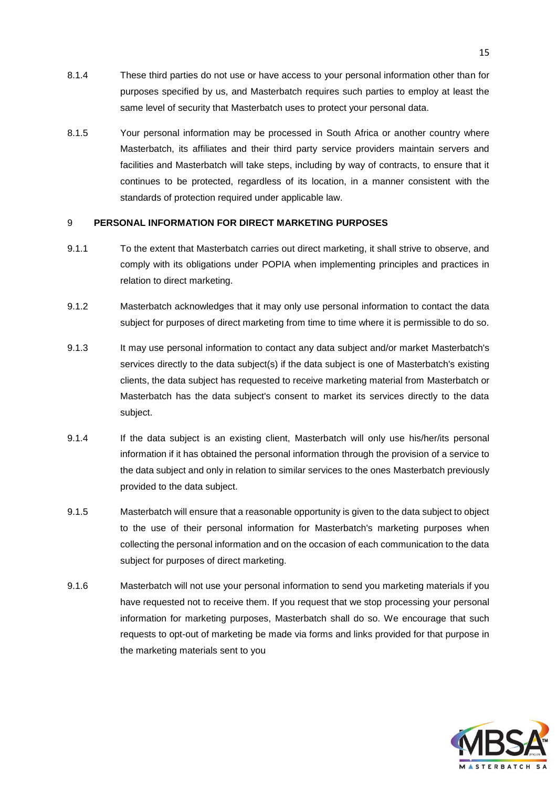- 8.1.4 These third parties do not use or have access to your personal information other than for purposes specified by us, and Masterbatch requires such parties to employ at least the same level of security that Masterbatch uses to protect your personal data.
- 8.1.5 Your personal information may be processed in South Africa or another country where Masterbatch, its affiliates and their third party service providers maintain servers and facilities and Masterbatch will take steps, including by way of contracts, to ensure that it continues to be protected, regardless of its location, in a manner consistent with the standards of protection required under applicable law.

## <span id="page-14-0"></span>9 **PERSONAL INFORMATION FOR DIRECT MARKETING PURPOSES**

- 9.1.1 To the extent that Masterbatch carries out direct marketing, it shall strive to observe, and comply with its obligations under POPIA when implementing principles and practices in relation to direct marketing.
- 9.1.2 Masterbatch acknowledges that it may only use personal information to contact the data subject for purposes of direct marketing from time to time where it is permissible to do so.
- 9.1.3 It may use personal information to contact any data subject and/or market Masterbatch's services directly to the data subject(s) if the data subject is one of Masterbatch's existing clients, the data subject has requested to receive marketing material from Masterbatch or Masterbatch has the data subject's consent to market its services directly to the data subject.
- 9.1.4 If the data subject is an existing client, Masterbatch will only use his/her/its personal information if it has obtained the personal information through the provision of a service to the data subject and only in relation to similar services to the ones Masterbatch previously provided to the data subject.
- 9.1.5 Masterbatch will ensure that a reasonable opportunity is given to the data subject to object to the use of their personal information for Masterbatch's marketing purposes when collecting the personal information and on the occasion of each communication to the data subject for purposes of direct marketing.
- 9.1.6 Masterbatch will not use your personal information to send you marketing materials if you have requested not to receive them. If you request that we stop processing your personal information for marketing purposes, Masterbatch shall do so. We encourage that such requests to opt-out of marketing be made via forms and links provided for that purpose in the marketing materials sent to you

![](_page_14_Picture_9.jpeg)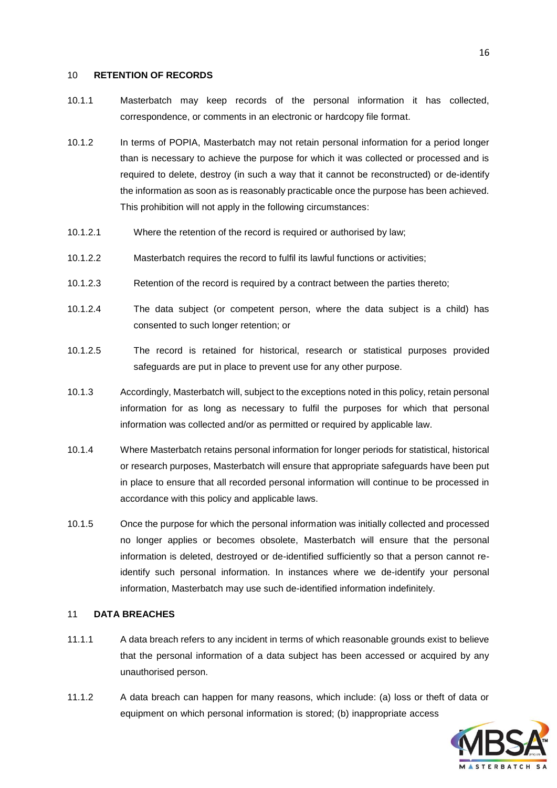#### <span id="page-15-0"></span>10 **RETENTION OF RECORDS**

- 10.1.1 Masterbatch may keep records of the personal information it has collected, correspondence, or comments in an electronic or hardcopy file format.
- 10.1.2 In terms of POPIA, Masterbatch may not retain personal information for a period longer than is necessary to achieve the purpose for which it was collected or processed and is required to delete, destroy (in such a way that it cannot be reconstructed) or de-identify the information as soon as is reasonably practicable once the purpose has been achieved. This prohibition will not apply in the following circumstances:
- 10.1.2.1 Where the retention of the record is required or authorised by law;
- 10.1.2.2 Masterbatch requires the record to fulfil its lawful functions or activities;
- 10.1.2.3 Retention of the record is required by a contract between the parties thereto;
- 10.1.2.4 The data subject (or competent person, where the data subject is a child) has consented to such longer retention; or
- 10.1.2.5 The record is retained for historical, research or statistical purposes provided safeguards are put in place to prevent use for any other purpose.
- 10.1.3 Accordingly, Masterbatch will, subject to the exceptions noted in this policy, retain personal information for as long as necessary to fulfil the purposes for which that personal information was collected and/or as permitted or required by applicable law.
- 10.1.4 Where Masterbatch retains personal information for longer periods for statistical, historical or research purposes, Masterbatch will ensure that appropriate safeguards have been put in place to ensure that all recorded personal information will continue to be processed in accordance with this policy and applicable laws.
- 10.1.5 Once the purpose for which the personal information was initially collected and processed no longer applies or becomes obsolete, Masterbatch will ensure that the personal information is deleted, destroyed or de-identified sufficiently so that a person cannot reidentify such personal information. In instances where we de-identify your personal information, Masterbatch may use such de-identified information indefinitely.

## <span id="page-15-1"></span>11 **DATA BREACHES**

- 11.1.1 A data breach refers to any incident in terms of which reasonable grounds exist to believe that the personal information of a data subject has been accessed or acquired by any unauthorised person.
- 11.1.2 A data breach can happen for many reasons, which include: (a) loss or theft of data or equipment on which personal information is stored; (b) inappropriate access

![](_page_15_Picture_14.jpeg)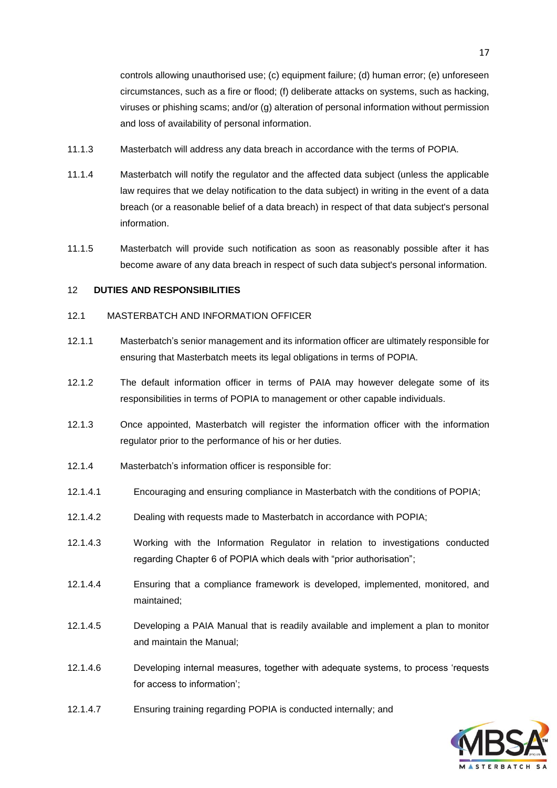controls allowing unauthorised use; (c) equipment failure; (d) human error; (e) unforeseen circumstances, such as a fire or flood; (f) deliberate attacks on systems, such as hacking, viruses or phishing scams; and/or (g) alteration of personal information without permission and loss of availability of personal information.

- 11.1.3 Masterbatch will address any data breach in accordance with the terms of POPIA.
- 11.1.4 Masterbatch will notify the regulator and the affected data subject (unless the applicable law requires that we delay notification to the data subject) in writing in the event of a data breach (or a reasonable belief of a data breach) in respect of that data subject's personal information.
- 11.1.5 Masterbatch will provide such notification as soon as reasonably possible after it has become aware of any data breach in respect of such data subject's personal information.

#### <span id="page-16-0"></span>12 **DUTIES AND RESPONSIBILITIES**

#### 12.1 MASTERBATCH AND INFORMATION OFFICER

- 12.1.1 Masterbatch's senior management and its information officer are ultimately responsible for ensuring that Masterbatch meets its legal obligations in terms of POPIA.
- 12.1.2 The default information officer in terms of PAIA may however delegate some of its responsibilities in terms of POPIA to management or other capable individuals.
- 12.1.3 Once appointed, Masterbatch will register the information officer with the information regulator prior to the performance of his or her duties.
- 12.1.4 Masterbatch's information officer is responsible for:
- 12.1.4.1 Encouraging and ensuring compliance in Masterbatch with the conditions of POPIA;
- 12.1.4.2 Dealing with requests made to Masterbatch in accordance with POPIA;
- 12.1.4.3 Working with the Information Regulator in relation to investigations conducted regarding Chapter 6 of POPIA which deals with "prior authorisation";
- 12.1.4.4 Ensuring that a compliance framework is developed, implemented, monitored, and maintained;
- 12.1.4.5 Developing a PAIA Manual that is readily available and implement a plan to monitor and maintain the Manual;
- 12.1.4.6 Developing internal measures, together with adequate systems, to process 'requests for access to information';
- 12.1.4.7 Ensuring training regarding POPIA is conducted internally; and

![](_page_16_Picture_17.jpeg)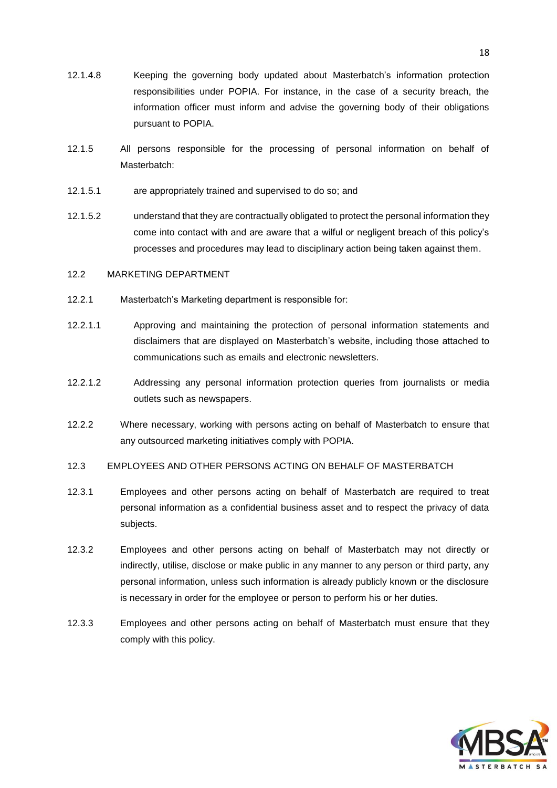- 12.1.4.8 Keeping the governing body updated about Masterbatch's information protection responsibilities under POPIA. For instance, in the case of a security breach, the information officer must inform and advise the governing body of their obligations pursuant to POPIA.
- 12.1.5 All persons responsible for the processing of personal information on behalf of Masterbatch:
- 12.1.5.1 are appropriately trained and supervised to do so; and
- 12.1.5.2 understand that they are contractually obligated to protect the personal information they come into contact with and are aware that a wilful or negligent breach of this policy's processes and procedures may lead to disciplinary action being taken against them.

#### 12.2 MARKETING DEPARTMENT

- 12.2.1 Masterbatch's Marketing department is responsible for:
- 12.2.1.1 Approving and maintaining the protection of personal information statements and disclaimers that are displayed on Masterbatch's website, including those attached to communications such as emails and electronic newsletters.
- 12.2.1.2 Addressing any personal information protection queries from journalists or media outlets such as newspapers.
- 12.2.2 Where necessary, working with persons acting on behalf of Masterbatch to ensure that any outsourced marketing initiatives comply with POPIA.
- 12.3 EMPLOYEES AND OTHER PERSONS ACTING ON BEHALF OF MASTERBATCH
- 12.3.1 Employees and other persons acting on behalf of Masterbatch are required to treat personal information as a confidential business asset and to respect the privacy of data subjects.
- 12.3.2 Employees and other persons acting on behalf of Masterbatch may not directly or indirectly, utilise, disclose or make public in any manner to any person or third party, any personal information, unless such information is already publicly known or the disclosure is necessary in order for the employee or person to perform his or her duties.
- 12.3.3 Employees and other persons acting on behalf of Masterbatch must ensure that they comply with this policy.

![](_page_17_Picture_13.jpeg)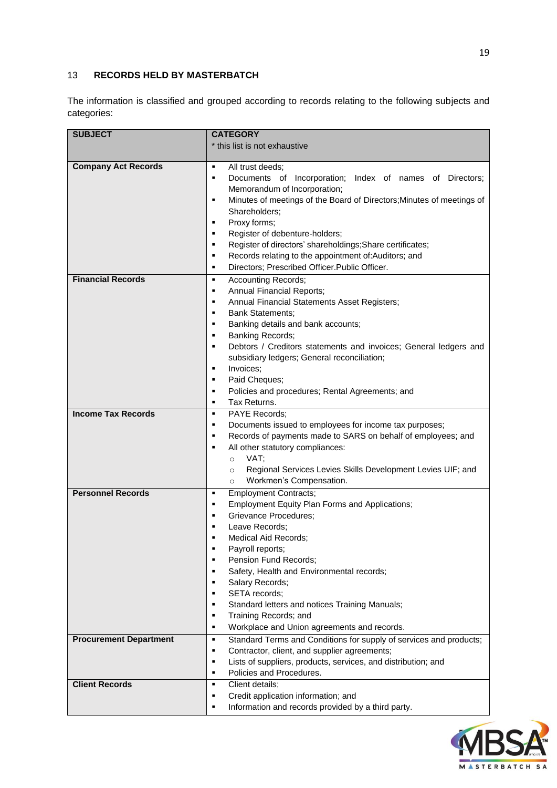# <span id="page-18-0"></span>13 **RECORDS HELD BY MASTERBATCH**

The information is classified and grouped according to records relating to the following subjects and categories:

| <b>SUBJECT</b>                | <b>CATEGORY</b>                                                                                                                                                                                                                                                                                                                                                                                                                                                                    |
|-------------------------------|------------------------------------------------------------------------------------------------------------------------------------------------------------------------------------------------------------------------------------------------------------------------------------------------------------------------------------------------------------------------------------------------------------------------------------------------------------------------------------|
|                               | * this list is not exhaustive                                                                                                                                                                                                                                                                                                                                                                                                                                                      |
|                               |                                                                                                                                                                                                                                                                                                                                                                                                                                                                                    |
| <b>Company Act Records</b>    | All trust deeds;<br>٠<br>Documents of Incorporation; Index of names of Directors;<br>٠<br>Memorandum of Incorporation;<br>Minutes of meetings of the Board of Directors; Minutes of meetings of<br>٠<br>Shareholders;<br>Proxy forms;<br>٠<br>Register of debenture-holders;<br>٠<br>Register of directors' shareholdings; Share certificates;<br>٠<br>Records relating to the appointment of: Auditors; and<br>٠<br>Directors; Prescribed Officer.Public Officer.<br>٠            |
| <b>Financial Records</b>      | <b>Accounting Records;</b><br>٠                                                                                                                                                                                                                                                                                                                                                                                                                                                    |
| <b>Income Tax Records</b>     | Annual Financial Reports;<br>٠<br>Annual Financial Statements Asset Registers;<br>п<br><b>Bank Statements;</b><br>п<br>Banking details and bank accounts;<br>п<br>Banking Records;<br>٠<br>Debtors / Creditors statements and invoices; General ledgers and<br>٠<br>subsidiary ledgers; General reconciliation;<br>Invoices;<br>٠<br>Paid Cheques;<br>٠<br>Policies and procedures; Rental Agreements; and<br>٠<br>Tax Returns.<br>٠<br>PAYE Records;<br>٠                         |
|                               | Documents issued to employees for income tax purposes;<br>٠                                                                                                                                                                                                                                                                                                                                                                                                                        |
|                               | Records of payments made to SARS on behalf of employees; and<br>٠<br>All other statutory compliances:<br>٠<br>VAT;<br>$\circ$<br>Regional Services Levies Skills Development Levies UIF; and<br>$\circ$<br>Workmen's Compensation.<br>$\circ$                                                                                                                                                                                                                                      |
| <b>Personnel Records</b>      | <b>Employment Contracts;</b><br>٠                                                                                                                                                                                                                                                                                                                                                                                                                                                  |
| <b>Procurement Department</b> | Employment Equity Plan Forms and Applications;<br>٠<br>Grievance Procedures;<br>п<br>Leave Records;<br>Medical Aid Records;<br>Payroll reports;<br>Pension Fund Records;<br>Safety, Health and Environmental records;<br>Salary Records;<br>SETA records;<br>п<br>Standard letters and notices Training Manuals;<br>٠<br>Training Records; and<br>٠<br>Workplace and Union agreements and records.<br>٠<br>Standard Terms and Conditions for supply of services and products;<br>٠ |
|                               | Contractor, client, and supplier agreements;<br>٠                                                                                                                                                                                                                                                                                                                                                                                                                                  |
|                               | Lists of suppliers, products, services, and distribution; and<br>٠                                                                                                                                                                                                                                                                                                                                                                                                                 |
|                               | Policies and Procedures.<br>٠                                                                                                                                                                                                                                                                                                                                                                                                                                                      |
| <b>Client Records</b>         | Client details;<br>٠                                                                                                                                                                                                                                                                                                                                                                                                                                                               |
|                               | Credit application information; and<br>٠<br>Information and records provided by a third party.<br>п                                                                                                                                                                                                                                                                                                                                                                                |

![](_page_18_Picture_3.jpeg)

S A

MASTERBATCH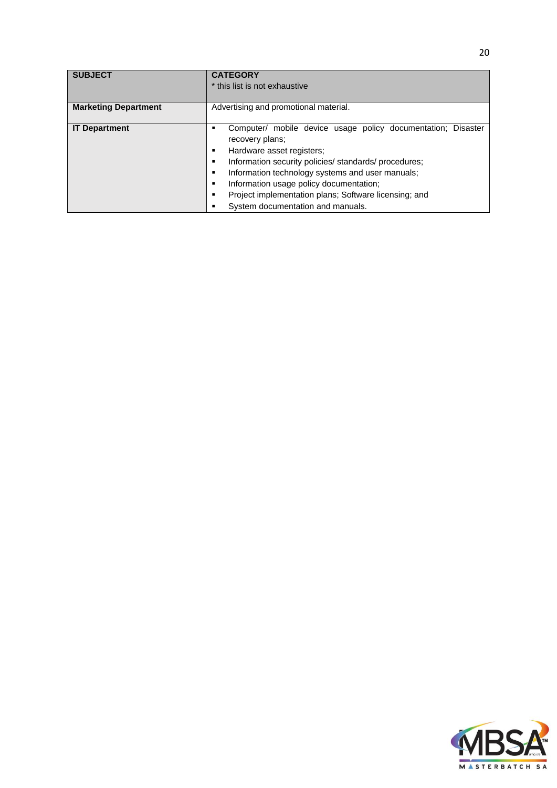| <b>SUBJECT</b>              | <b>CATEGORY</b>                                              |
|-----------------------------|--------------------------------------------------------------|
|                             | * this list is not exhaustive                                |
|                             |                                                              |
| <b>Marketing Department</b> | Advertising and promotional material.                        |
|                             |                                                              |
| <b>IT Department</b>        | Computer/ mobile device usage policy documentation; Disaster |
|                             | recovery plans;                                              |
|                             | Hardware asset registers;                                    |
|                             | Information security policies/ standards/ procedures;        |
|                             | Information technology systems and user manuals;             |
|                             | Information usage policy documentation;                      |
|                             | Project implementation plans; Software licensing; and        |
|                             | System documentation and manuals.                            |

![](_page_19_Picture_1.jpeg)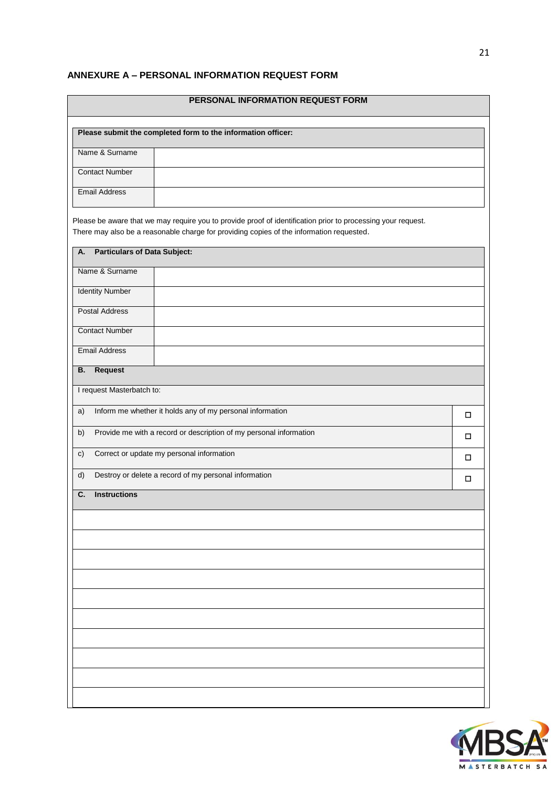# <span id="page-20-0"></span>**ANNEXURE A – PERSONAL INFORMATION REQUEST FORM**

| PERSONAL INFORMATION REQUEST FORM                                                                                                                                                                        |   |  |  |  |  |  |
|----------------------------------------------------------------------------------------------------------------------------------------------------------------------------------------------------------|---|--|--|--|--|--|
| Please submit the completed form to the information officer:                                                                                                                                             |   |  |  |  |  |  |
| Name & Surname                                                                                                                                                                                           |   |  |  |  |  |  |
| <b>Contact Number</b>                                                                                                                                                                                    |   |  |  |  |  |  |
| <b>Email Address</b>                                                                                                                                                                                     |   |  |  |  |  |  |
|                                                                                                                                                                                                          |   |  |  |  |  |  |
| Please be aware that we may require you to provide proof of identification prior to processing your request.<br>There may also be a reasonable charge for providing copies of the information requested. |   |  |  |  |  |  |
| <b>Particulars of Data Subject:</b><br>Α.                                                                                                                                                                |   |  |  |  |  |  |
| Name & Surname                                                                                                                                                                                           |   |  |  |  |  |  |
| <b>Identity Number</b>                                                                                                                                                                                   |   |  |  |  |  |  |
| <b>Postal Address</b>                                                                                                                                                                                    |   |  |  |  |  |  |
| <b>Contact Number</b>                                                                                                                                                                                    |   |  |  |  |  |  |
| <b>Email Address</b>                                                                                                                                                                                     |   |  |  |  |  |  |
| <b>Request</b><br>В.                                                                                                                                                                                     |   |  |  |  |  |  |
| I request Masterbatch to:                                                                                                                                                                                |   |  |  |  |  |  |
| Inform me whether it holds any of my personal information<br>a)                                                                                                                                          | □ |  |  |  |  |  |
| Provide me with a record or description of my personal information<br>b)                                                                                                                                 | □ |  |  |  |  |  |
| Correct or update my personal information<br>c)                                                                                                                                                          | □ |  |  |  |  |  |
| Destroy or delete a record of my personal information<br>d)                                                                                                                                              | □ |  |  |  |  |  |
| <b>Instructions</b><br>C.                                                                                                                                                                                |   |  |  |  |  |  |
|                                                                                                                                                                                                          |   |  |  |  |  |  |
|                                                                                                                                                                                                          |   |  |  |  |  |  |
|                                                                                                                                                                                                          |   |  |  |  |  |  |
|                                                                                                                                                                                                          |   |  |  |  |  |  |
|                                                                                                                                                                                                          |   |  |  |  |  |  |
|                                                                                                                                                                                                          |   |  |  |  |  |  |
|                                                                                                                                                                                                          |   |  |  |  |  |  |
|                                                                                                                                                                                                          |   |  |  |  |  |  |
|                                                                                                                                                                                                          |   |  |  |  |  |  |
|                                                                                                                                                                                                          |   |  |  |  |  |  |

![](_page_20_Picture_2.jpeg)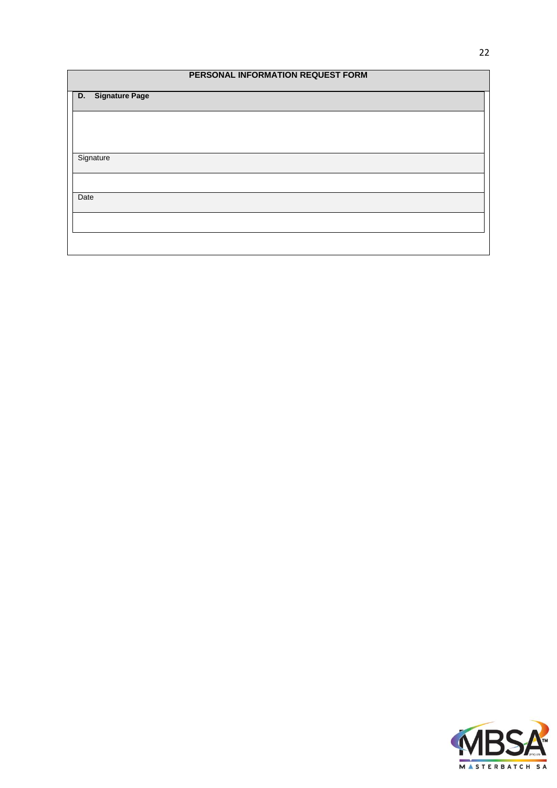| PERSONAL INFORMATION REQUEST FORM |
|-----------------------------------|
| <b>Signature Page</b><br>D.       |
|                                   |
|                                   |
| Signature                         |
|                                   |
| Date                              |
|                                   |
|                                   |

![](_page_21_Picture_1.jpeg)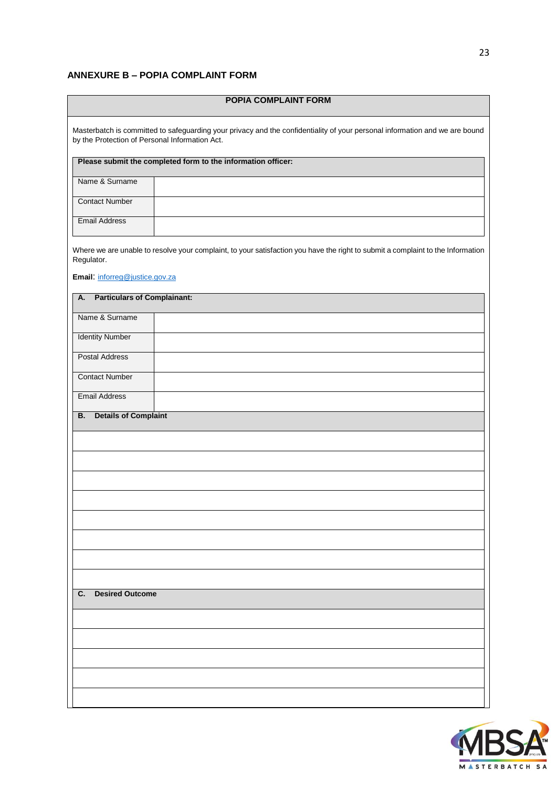# <span id="page-22-0"></span>**ANNEXURE B – POPIA COMPLAINT FORM**

| <b>POPIA COMPLAINT FORM</b>                                                                                                                                                   |  |  |  |  |  |
|-------------------------------------------------------------------------------------------------------------------------------------------------------------------------------|--|--|--|--|--|
| Masterbatch is committed to safeguarding your privacy and the confidentiality of your personal information and we are bound<br>by the Protection of Personal Information Act. |  |  |  |  |  |
| Please submit the completed form to the information officer:                                                                                                                  |  |  |  |  |  |
| Name & Surname                                                                                                                                                                |  |  |  |  |  |
| <b>Contact Number</b>                                                                                                                                                         |  |  |  |  |  |
| <b>Email Address</b>                                                                                                                                                          |  |  |  |  |  |
| Where we are unable to resolve your complaint, to your satisfaction you have the right to submit a complaint to the Information<br>Regulator.                                 |  |  |  |  |  |
| Email: inforreg@justice.gov.za                                                                                                                                                |  |  |  |  |  |
| <b>Particulars of Complainant:</b><br>А.                                                                                                                                      |  |  |  |  |  |
| Name & Surname                                                                                                                                                                |  |  |  |  |  |
| <b>Identity Number</b>                                                                                                                                                        |  |  |  |  |  |
| <b>Postal Address</b>                                                                                                                                                         |  |  |  |  |  |
| <b>Contact Number</b>                                                                                                                                                         |  |  |  |  |  |
| <b>Email Address</b>                                                                                                                                                          |  |  |  |  |  |
| <b>Details of Complaint</b><br><b>B.</b>                                                                                                                                      |  |  |  |  |  |
|                                                                                                                                                                               |  |  |  |  |  |
|                                                                                                                                                                               |  |  |  |  |  |
|                                                                                                                                                                               |  |  |  |  |  |
|                                                                                                                                                                               |  |  |  |  |  |
|                                                                                                                                                                               |  |  |  |  |  |
|                                                                                                                                                                               |  |  |  |  |  |
|                                                                                                                                                                               |  |  |  |  |  |
|                                                                                                                                                                               |  |  |  |  |  |
|                                                                                                                                                                               |  |  |  |  |  |
| <b>Desired Outcome</b><br>C.                                                                                                                                                  |  |  |  |  |  |
|                                                                                                                                                                               |  |  |  |  |  |
|                                                                                                                                                                               |  |  |  |  |  |
|                                                                                                                                                                               |  |  |  |  |  |
|                                                                                                                                                                               |  |  |  |  |  |
|                                                                                                                                                                               |  |  |  |  |  |
|                                                                                                                                                                               |  |  |  |  |  |

![](_page_22_Picture_2.jpeg)